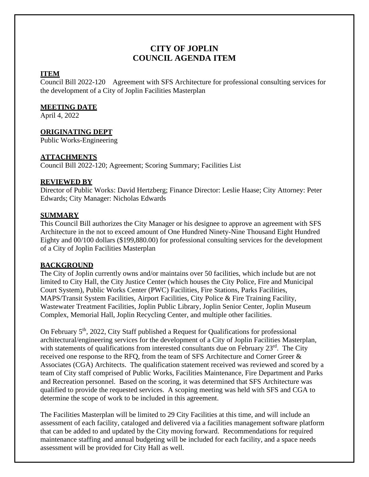# **CITY OF JOPLIN COUNCIL AGENDA ITEM**

#### **ITEM**

Council Bill 2022-120 Agreement with SFS Architecture for professional consulting services for the development of a City of Joplin Facilities Masterplan

## **MEETING DATE**

April 4, 2022

# **ORIGINATING DEPT**

Public Works-Engineering

## **ATTACHMENTS**

Council Bill 2022-120; Agreement; Scoring Summary; Facilities List

## **REVIEWED BY**

Director of Public Works: David Hertzberg; Finance Director: Leslie Haase; City Attorney: Peter Edwards; City Manager: Nicholas Edwards

# **SUMMARY**

This Council Bill authorizes the City Manager or his designee to approve an agreement with SFS Architecture in the not to exceed amount of One Hundred Ninety-Nine Thousand Eight Hundred Eighty and 00/100 dollars (\$199,880.00) for professional consulting services for the development of a City of Joplin Facilities Masterplan

## **BACKGROUND**

The City of Joplin currently owns and/or maintains over 50 facilities, which include but are not limited to City Hall, the City Justice Center (which houses the City Police, Fire and Municipal Court System), Public Works Center (PWC) Facilities, Fire Stations, Parks Facilities, MAPS/Transit System Facilities, Airport Facilities, City Police & Fire Training Facility, Wastewater Treatment Facilities, Joplin Public Library, Joplin Senior Center, Joplin Museum Complex, Memorial Hall, Joplin Recycling Center, and multiple other facilities.

On February  $5<sup>th</sup>$ , 2022, City Staff published a Request for Qualifications for professional architectural/engineering services for the development of a City of Joplin Facilities Masterplan, with statements of qualifications from interested consultants due on February 23<sup>rd</sup>. The City received one response to the RFQ, from the team of SFS Architecture and Corner Greer & Associates (CGA) Architects. The qualification statement received was reviewed and scored by a team of City staff comprised of Public Works, Facilities Maintenance, Fire Department and Parks and Recreation personnel. Based on the scoring, it was determined that SFS Architecture was qualified to provide the requested services. A scoping meeting was held with SFS and CGA to determine the scope of work to be included in this agreement.

The Facilities Masterplan will be limited to 29 City Facilities at this time, and will include an assessment of each facility, cataloged and delivered via a facilities management software platform that can be added to and updated by the City moving forward. Recommendations for required maintenance staffing and annual budgeting will be included for each facility, and a space needs assessment will be provided for City Hall as well.